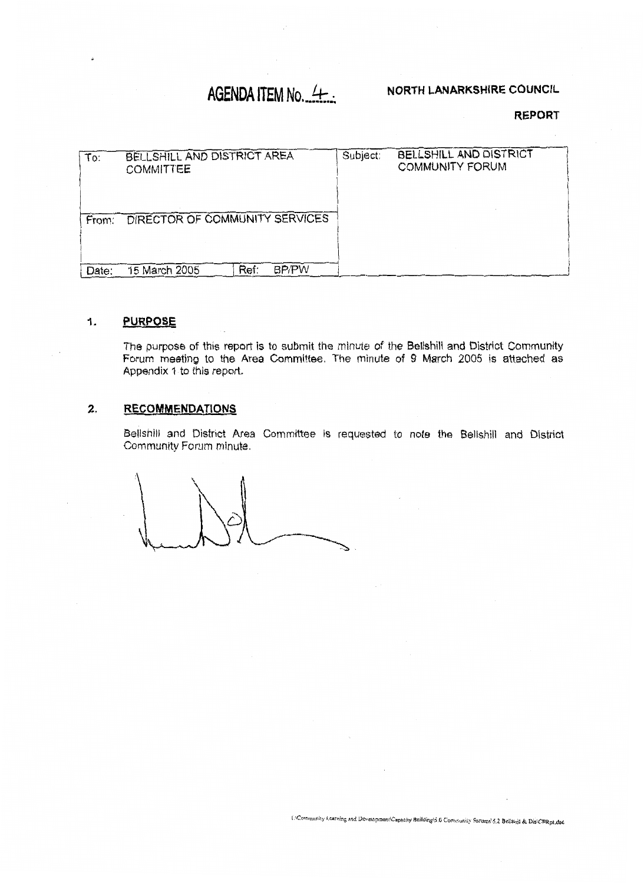# **AGENDA ITEM No. 4.**

# **NORTH LANARKSHiRE COUNCIL**

## **REPORT**

| To:   | BELLSHILL AND DISTRICT AREA<br><b>COMMITTEE</b> | Subject: | BELLSHILL AND DISTRICT<br><b>COMMUNITY FORUM</b> |
|-------|-------------------------------------------------|----------|--------------------------------------------------|
| From: | DIRECTOR OF COMMUNITY SERVICES                  |          |                                                  |
| Date: | Ref:<br><b>BP/PW</b><br>15 March 2005           |          |                                                  |

#### **PURPOSE** 1.

The purpose of **this** report **is** to submit the minute of **ths Bellshill and** District Community Forum **meeting** to the **Area Committee.** The minute *of* **9** March 2005 **is** attached **as Appendix** 'i to this report.

# **2. RECOMMENDATIONS**

Bellshill **and** District Area Committee *is* requested to *note* **the** Bellshill and District Community Forum minute.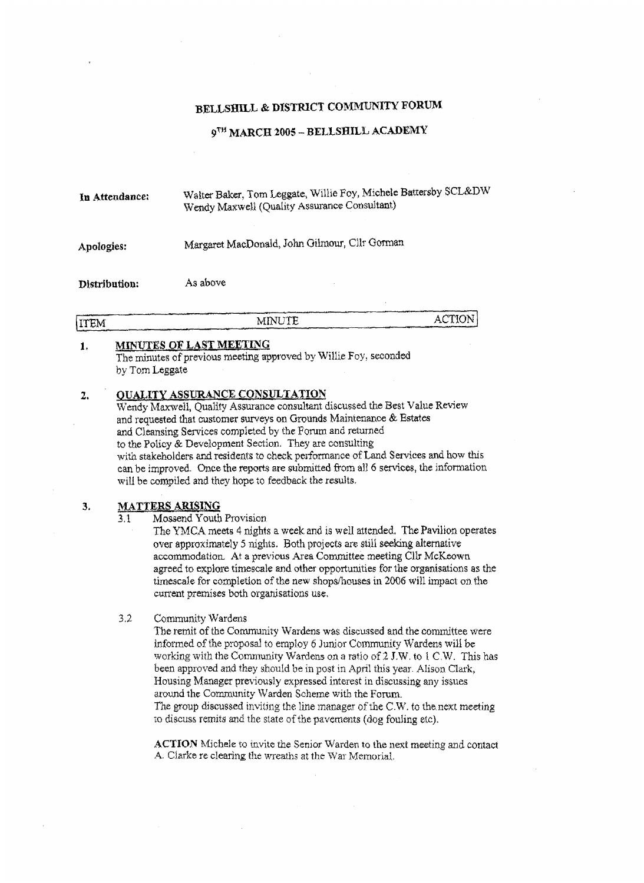# BELLSHILL & DISTRICT COMMUNITY FORUM

## 9TH MARCH 2005 - BELLSHILL ACADEMY

Walter Baker, Tom Leggate, Willie Foy, Michele Battersby SCL&DW In Attendance: Wendy Maxwell (Quality Assurance Consultant)

#### Margaret MacDonald, John Gilmour, Cllr Gorman Apologies:

As above Distribution:

|             |               | ACTION                                                             |
|-------------|---------------|--------------------------------------------------------------------|
| <b>ITEM</b> | <b>MINUTE</b> |                                                                    |
|             |               | أأتوان والمسترقص والمسامى والمتستنب والمتعادل والمستنب والمستحدثان |

#### **MINUTES OF LAST MEETING**  $\mathbf{1}$

The minutes of previous meeting approved by Willie Foy, seconded by Tom Leggate

#### **QUALITY ASSURANCE CONSULTATION**  $2.$

Wendy Maxwell, Quality Assurance consultant discussed the Best Value Review and requested that customer surveys on Grounds Maintenance & Estates and Cleansing Services completed by the Forum and returned to the Policy  $\&$  Development Section. They are consulting with stakeholders and residents to check performance of Land Services and how this can be improved. Once the reports are submitted from all 6 services, the information will be compiled and they hope to feedback the results.

#### **MATTERS ARISING** 3.

Mossend Youth Provision  $3.1$ 

> The YMCA meets 4 nights a week and is well attended. The Pavilion operates over approximately 5 nights. Both projects are still seeking alternative accommodation. At a previous Area Committee meeting Clir McKeown agreed to explore timescale and other opportunities for the organisations as the timescale for completion of the new shops/houses in 2006 will impact on the current premises both organisations use.

#### $3.2$ Community Wardens

The remit of the Community Wardens was discussed and the committee were informed of the proposal to employ 6 Junior Community Wardens will be working with the Community Wardens on a ratio of 2 J.W. to 1 C.W. This has been approved and they should be in post in April this year. Alison Clark, Housing Manager previously expressed interest in discussing any issues around the Community Warden Scheme with the Forum. The group discussed inviting the line manager of the C.W. to the next meeting to discuss remits and the state of the pavements (dog fouling etc).

ACTION Michele to invite the Senior Warden to the next meeting and contact A. Clarke re clearing the wreaths at the War Memorial.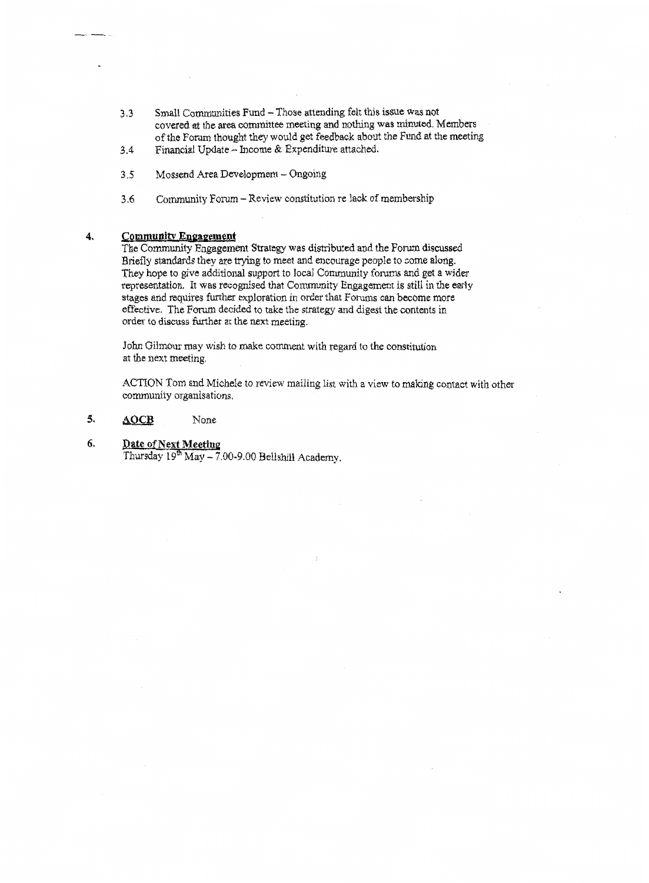- **3.3** Small Co~~muities Fund Those attending *felt* this issue **was** not covered **at** the **are8** committee meeting and nothing **was** minuted. Members ofthe Forum thought they would *get* feedback about the Fund **at** the meeting
- 3.4 Financial Update Income & Expenditure attached.
- 3 *5*  Mossend Area **Devabprneni** - Ongohg
- **3.6**  Community Forum - R.eview constitution re lack *of* membership

## 4. **Community Engagement**

The Community Engagement Strategy was distributed and the Forum discussed **Briefly** standards they are trying to meet and encourage **people** to come **along.**  They hope to give additional support to local Community forums and get a wider representation. It was **recognised** that Community Engagment is **still** in **the early**  stages and requires further exploration in order that Forums can become more effective. The Forum decided to take the strategy and digest the contents in order to discuss further at the next meeting.

John Gilmour may wish to make comment with regard to the constitution at the next meeting.

ACTION Tom and Michele to review mailing list with a view to making contact with other community organisations.

## *5,* **&OCB** None

## **6. Date of Next Meeting**

Thursday 19<sup>th</sup> May - 7.00-9.00 Belishill Academy,